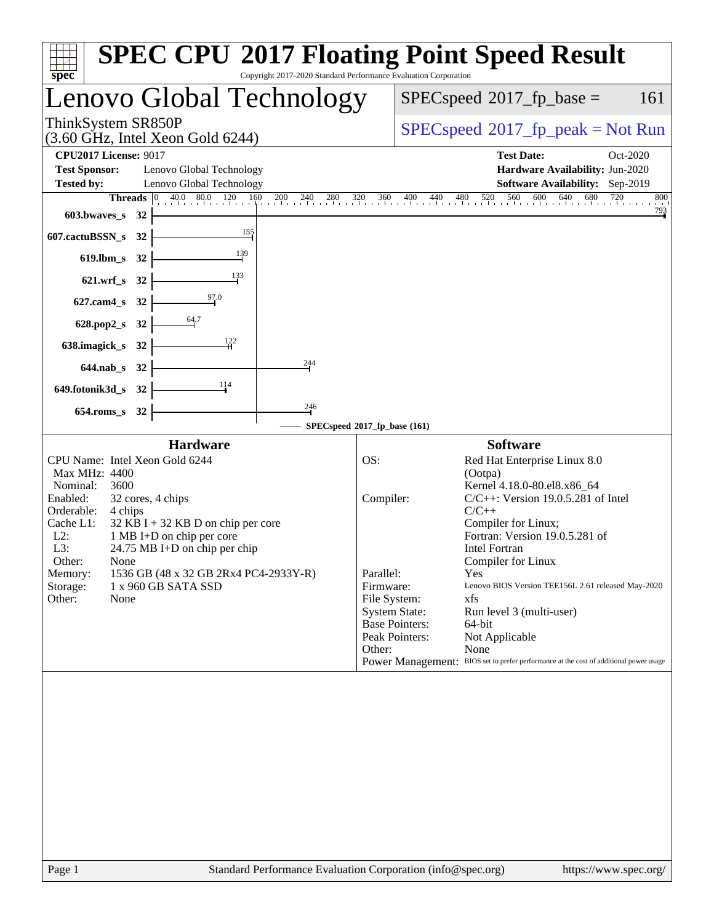| Copyright 2017-2020 Standard Performance Evaluation Corporation<br>spec <sup>®</sup>                                                                                                                                                                                                                                                                                                                                      | <b>SPEC CPU®2017 Floating Point Speed Result</b>                                                                                                                                                                                                                                                                                                                                                                                                                                                                                                                                                                                                              |
|---------------------------------------------------------------------------------------------------------------------------------------------------------------------------------------------------------------------------------------------------------------------------------------------------------------------------------------------------------------------------------------------------------------------------|---------------------------------------------------------------------------------------------------------------------------------------------------------------------------------------------------------------------------------------------------------------------------------------------------------------------------------------------------------------------------------------------------------------------------------------------------------------------------------------------------------------------------------------------------------------------------------------------------------------------------------------------------------------|
| Lenovo Global Technology                                                                                                                                                                                                                                                                                                                                                                                                  | $SPEC speed^{\circ}2017\_fp\_base =$<br>161                                                                                                                                                                                                                                                                                                                                                                                                                                                                                                                                                                                                                   |
| ThinkSystem SR850P<br>$(3.60 \text{ GHz}, \text{Intel Xeon Gold } 6244)$                                                                                                                                                                                                                                                                                                                                                  | $SPEC speed^{\circ}2017\_fp\_peak = Not Run$                                                                                                                                                                                                                                                                                                                                                                                                                                                                                                                                                                                                                  |
| <b>CPU2017 License: 9017</b><br><b>Test Sponsor:</b><br>Lenovo Global Technology<br>Lenovo Global Technology<br><b>Tested by:</b>                                                                                                                                                                                                                                                                                         | <b>Test Date:</b><br>Oct-2020<br>Hardware Availability: Jun-2020<br>Software Availability: Sep-2019                                                                                                                                                                                                                                                                                                                                                                                                                                                                                                                                                           |
| <b>Threads</b> $\begin{bmatrix} 0 & 40.0 & 80.0 & 120 & 160 \end{bmatrix}$<br>$^{200}$<br>240<br>$^{280}$<br>603.bwaves_s 32<br>155<br>607.cactuBSSN_s 32<br>139<br>619.lbm_s 32<br>133<br>621.wrf_s 32<br>627.cam4_s 32<br>$\frac{64.7}{4}$<br>628.pop2_s 32<br>$\frac{122}{1}$<br>638.imagick_s 32<br>244                                                                                                               | 600<br>640<br>680<br>$\frac{320}{1}$<br>360 400<br>520<br>560<br>$\frac{720}{1}$<br>$\overline{800}$<br>$^{440}$<br>$^{480}$<br>$\frac{793}{4}$                                                                                                                                                                                                                                                                                                                                                                                                                                                                                                               |
| 644.nab_s 32<br>114<br>649.fotonik3d_s 32                                                                                                                                                                                                                                                                                                                                                                                 |                                                                                                                                                                                                                                                                                                                                                                                                                                                                                                                                                                                                                                                               |
| $\frac{246}{1}$<br>654.roms_s 32                                                                                                                                                                                                                                                                                                                                                                                          |                                                                                                                                                                                                                                                                                                                                                                                                                                                                                                                                                                                                                                                               |
| <b>Hardware</b><br>CPU Name: Intel Xeon Gold 6244<br>Max MHz: 4400<br>Nominal:<br>3600<br>Enabled:<br>32 cores, 4 chips<br>Orderable:<br>4 chips<br>Cache L1:<br>$32$ KB I + 32 KB D on chip per core<br>1 MB I+D on chip per core<br>$L2$ :<br>L3:<br>$24.75 \text{ MB I+D}$ on chip per chip<br>Other:<br>None<br>1536 GB (48 x 32 GB 2Rx4 PC4-2933Y-R)<br>Memory:<br>Storage:<br>1 x 960 GB SATA SSD<br>Other:<br>None | SPECspeed®2017_fp_base (161)<br><b>Software</b><br>OS:<br>Red Hat Enterprise Linux 8.0<br>(Ootpa)<br>Kernel 4.18.0-80.el8.x86_64<br>$C/C++$ : Version 19.0.5.281 of Intel<br>Compiler:<br>$C/C++$<br>Compiler for Linux;<br>Fortran: Version 19.0.5.281 of<br><b>Intel Fortran</b><br>Compiler for Linux<br>Parallel:<br>Yes<br>Firmware:<br>Lenovo BIOS Version TEE156L 2.61 released May-2020<br>File System:<br>xfs<br><b>System State:</b><br>Run level 3 (multi-user)<br><b>Base Pointers:</b><br>64-bit<br>Peak Pointers:<br>Not Applicable<br>Other:<br>None<br>Power Management: BIOS set to prefer performance at the cost of additional power usage |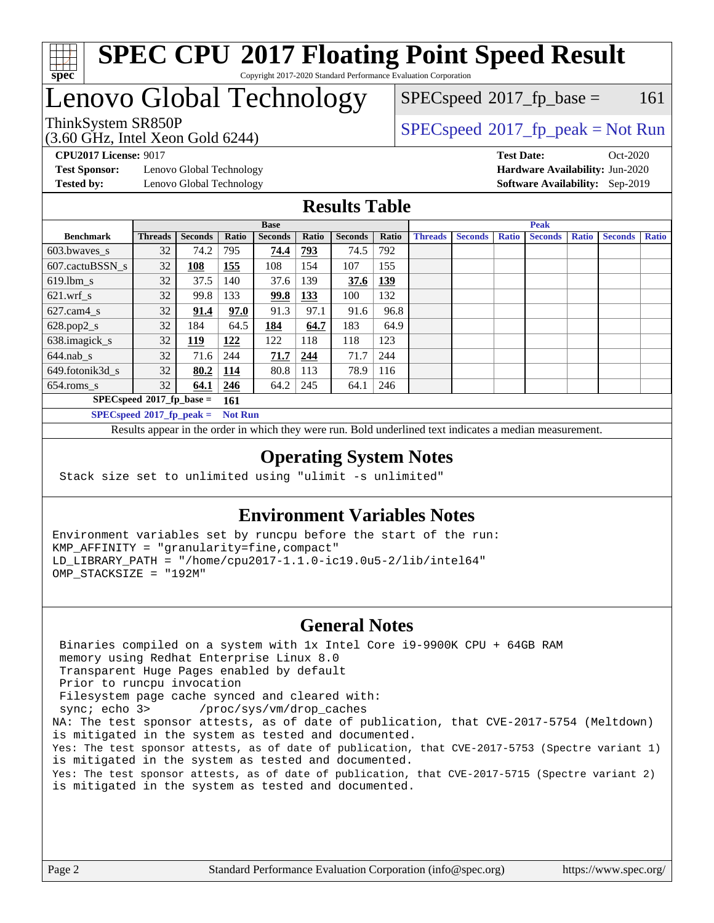

### **[SPEC CPU](http://www.spec.org/auto/cpu2017/Docs/result-fields.html#SPECCPU2017FloatingPointSpeedResult)[2017 Floating Point Speed Result](http://www.spec.org/auto/cpu2017/Docs/result-fields.html#SPECCPU2017FloatingPointSpeedResult)** Copyright 2017-2020 Standard Performance Evaluation Corporation

## Lenovo Global Technology

(3.60 GHz, Intel Xeon Gold 6244) ThinkSystem SR850P<br>  $(3.60 \text{ GHz, Intel Yoon Gold } 6244)$  [SPECspeed](http://www.spec.org/auto/cpu2017/Docs/result-fields.html#SPECspeed2017fppeak)<sup>®</sup>[2017\\_fp\\_peak = N](http://www.spec.org/auto/cpu2017/Docs/result-fields.html#SPECspeed2017fppeak)ot Run

 $SPECspeed^{\circledcirc}2017_fp\_base = 161$  $SPECspeed^{\circledcirc}2017_fp\_base = 161$ 

**[Test Sponsor:](http://www.spec.org/auto/cpu2017/Docs/result-fields.html#TestSponsor)** Lenovo Global Technology **[Hardware Availability:](http://www.spec.org/auto/cpu2017/Docs/result-fields.html#HardwareAvailability)** Jun-2020 **[Tested by:](http://www.spec.org/auto/cpu2017/Docs/result-fields.html#Testedby)** Lenovo Global Technology **[Software Availability:](http://www.spec.org/auto/cpu2017/Docs/result-fields.html#SoftwareAvailability)** Sep-2019

**[CPU2017 License:](http://www.spec.org/auto/cpu2017/Docs/result-fields.html#CPU2017License)** 9017 **[Test Date:](http://www.spec.org/auto/cpu2017/Docs/result-fields.html#TestDate)** Oct-2020

### **[Results Table](http://www.spec.org/auto/cpu2017/Docs/result-fields.html#ResultsTable)**

|                                    | <b>Base</b>    |                |                |                | <b>Peak</b> |                |            |                |                |              |                |              |                |              |
|------------------------------------|----------------|----------------|----------------|----------------|-------------|----------------|------------|----------------|----------------|--------------|----------------|--------------|----------------|--------------|
| <b>Benchmark</b>                   | <b>Threads</b> | <b>Seconds</b> | Ratio          | <b>Seconds</b> | Ratio       | <b>Seconds</b> | Ratio      | <b>Threads</b> | <b>Seconds</b> | <b>Ratio</b> | <b>Seconds</b> | <b>Ratio</b> | <b>Seconds</b> | <b>Ratio</b> |
| $603.bwaves$ s                     | 32             | 74.2           | 795            | 74.4           | 793         | 74.5           | 792        |                |                |              |                |              |                |              |
| 607.cactuBSSN s                    | 32             | 108            | 155            | 108            | 154         | 107            | 155        |                |                |              |                |              |                |              |
| $619.1$ bm s                       | 32             | 37.5           | 140            | 37.6           | 139         | 37.6           | <u>139</u> |                |                |              |                |              |                |              |
| $621.wrf$ s                        | 32             | 99.8           | 133            | 99.8           | <u>133</u>  | 100            | 132        |                |                |              |                |              |                |              |
| $627$ .cam $4 \text{ s}$           | 32             | 91.4           | 97.0           | 91.3           | 97.1        | 91.6           | 96.8       |                |                |              |                |              |                |              |
| $628.pop2_s$                       | 32             | 184            | 64.5           | 184            | 64.7        | 183            | 64.9       |                |                |              |                |              |                |              |
| 638.imagick_s                      | 32             | <u>119</u>     | 122            | 122            | 118         | 118            | 123        |                |                |              |                |              |                |              |
| $644$ .nab s                       | 32             | 71.6           | 244            | 71.7           | 244         | 71.7           | 244        |                |                |              |                |              |                |              |
| 649.fotonik3d s                    | 32             | 80.2           | <u>114</u>     | 80.8           | 113         | 78.9           | 116        |                |                |              |                |              |                |              |
| $654$ .roms s                      | 32             | 64.1           | 246            | 64.2           | 245         | 64.1           | 246        |                |                |              |                |              |                |              |
| $SPECspeed*2017_fp\_base =$<br>161 |                |                |                |                |             |                |            |                |                |              |                |              |                |              |
| $SPECspeed*2017_fp\_peak =$        |                |                | <b>Not Run</b> |                |             |                |            |                |                |              |                |              |                |              |

Results appear in the [order in which they were run.](http://www.spec.org/auto/cpu2017/Docs/result-fields.html#RunOrder) Bold underlined text [indicates a median measurement](http://www.spec.org/auto/cpu2017/Docs/result-fields.html#Median).

### **[Operating System Notes](http://www.spec.org/auto/cpu2017/Docs/result-fields.html#OperatingSystemNotes)**

Stack size set to unlimited using "ulimit -s unlimited"

### **[Environment Variables Notes](http://www.spec.org/auto/cpu2017/Docs/result-fields.html#EnvironmentVariablesNotes)**

Environment variables set by runcpu before the start of the run: KMP\_AFFINITY = "granularity=fine,compact" LD\_LIBRARY\_PATH = "/home/cpu2017-1.1.0-ic19.0u5-2/lib/intel64" OMP\_STACKSIZE = "192M"

#### **[General Notes](http://www.spec.org/auto/cpu2017/Docs/result-fields.html#GeneralNotes)**

 Binaries compiled on a system with 1x Intel Core i9-9900K CPU + 64GB RAM memory using Redhat Enterprise Linux 8.0 Transparent Huge Pages enabled by default Prior to runcpu invocation Filesystem page cache synced and cleared with: sync; echo 3> /proc/sys/vm/drop\_caches NA: The test sponsor attests, as of date of publication, that CVE-2017-5754 (Meltdown) is mitigated in the system as tested and documented. Yes: The test sponsor attests, as of date of publication, that CVE-2017-5753 (Spectre variant 1) is mitigated in the system as tested and documented. Yes: The test sponsor attests, as of date of publication, that CVE-2017-5715 (Spectre variant 2) is mitigated in the system as tested and documented.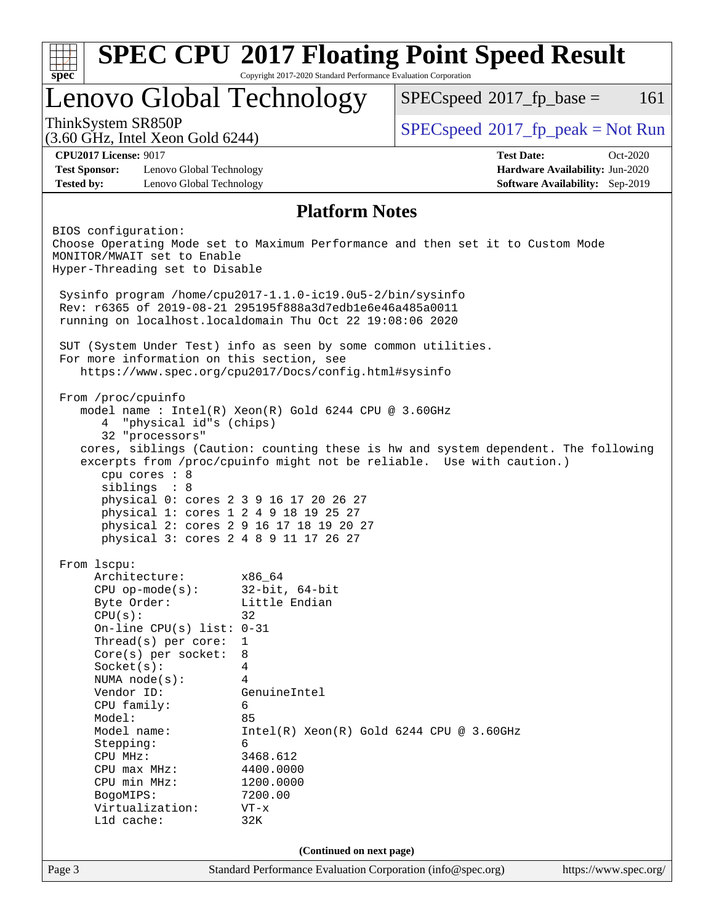| Lenovo Global Technology<br>$SPEC speed^{\circ}2017$ _fp_base =<br>ThinkSystem SR850P<br>$SPEC speed^{\circ}2017\_fp\_peak = Not Run$<br>$(3.60 \text{ GHz}, \text{Intel Xeon Gold } 6244)$<br><b>CPU2017 License: 9017</b><br><b>Test Date:</b><br><b>Test Sponsor:</b><br>Lenovo Global Technology<br>Hardware Availability: Jun-2020<br><b>Tested by:</b><br>Lenovo Global Technology<br><b>Software Availability:</b> Sep-2019<br><b>Platform Notes</b><br>BIOS configuration:<br>Choose Operating Mode set to Maximum Performance and then set it to Custom Mode<br>MONITOR/MWAIT set to Enable<br>Hyper-Threading set to Disable<br>Sysinfo program /home/cpu2017-1.1.0-ic19.0u5-2/bin/sysinfo<br>Rev: r6365 of 2019-08-21 295195f888a3d7edble6e46a485a0011<br>running on localhost.localdomain Thu Oct 22 19:08:06 2020<br>SUT (System Under Test) info as seen by some common utilities.<br>For more information on this section, see<br>https://www.spec.org/cpu2017/Docs/config.html#sysinfo<br>From /proc/cpuinfo<br>model name : Intel(R) Xeon(R) Gold 6244 CPU @ 3.60GHz<br>"physical id"s (chips)<br>4<br>32 "processors"<br>cores, siblings (Caution: counting these is hw and system dependent. The following<br>excerpts from /proc/cpuinfo might not be reliable. Use with caution.)<br>cpu cores : 8<br>siblings : 8<br>physical 0: cores 2 3 9 16 17 20 26 27<br>physical 1: cores 1 2 4 9 18 19 25 27<br>physical 2: cores 2 9 16 17 18 19 20 27<br>physical 3: cores 2 4 8 9 11 17 26 27<br>From 1scpu:<br>Architecture:<br>x86_64<br>$32$ -bit, $64$ -bit<br>$CPU$ op-mode( $s$ ):<br>Little Endian<br>Byte Order:<br>CPU(s):<br>32<br>On-line CPU(s) list: $0-31$<br>Thread(s) per core:<br>$\mathbf 1$<br>Core(s) per socket:<br>8<br>Socket(s):<br>4<br>NUMA $node(s):$<br>4<br>Vendor ID:<br>GenuineIntel<br>CPU family:<br>6<br>Model:<br>85<br>Model name:<br>$Intel(R) Xeon(R) Gold 6244 CPU @ 3.60GHz$<br>Stepping:<br>6<br>3468.612<br>CPU MHz:<br>4400.0000<br>$CPU$ max $MHz:$<br>CPU min MHz:<br>1200.0000<br>7200.00<br>BogoMIPS:<br>Virtualization:<br>$VT - x$<br>L1d cache:<br>32K<br>(Continued on next page)<br>Standard Performance Evaluation Corporation (info@spec.org) | spec | Copyright 2017-2020 Standard Performance Evaluation Corporation | <b>SPEC CPU®2017 Floating Point Speed Result</b> |                       |
|----------------------------------------------------------------------------------------------------------------------------------------------------------------------------------------------------------------------------------------------------------------------------------------------------------------------------------------------------------------------------------------------------------------------------------------------------------------------------------------------------------------------------------------------------------------------------------------------------------------------------------------------------------------------------------------------------------------------------------------------------------------------------------------------------------------------------------------------------------------------------------------------------------------------------------------------------------------------------------------------------------------------------------------------------------------------------------------------------------------------------------------------------------------------------------------------------------------------------------------------------------------------------------------------------------------------------------------------------------------------------------------------------------------------------------------------------------------------------------------------------------------------------------------------------------------------------------------------------------------------------------------------------------------------------------------------------------------------------------------------------------------------------------------------------------------------------------------------------------------------------------------------------------------------------------------------------------------------------------------------------------------------------------------------------------------------------------------------------------------------------------------------------------------------------------------------------------------------|------|-----------------------------------------------------------------|--------------------------------------------------|-----------------------|
|                                                                                                                                                                                                                                                                                                                                                                                                                                                                                                                                                                                                                                                                                                                                                                                                                                                                                                                                                                                                                                                                                                                                                                                                                                                                                                                                                                                                                                                                                                                                                                                                                                                                                                                                                                                                                                                                                                                                                                                                                                                                                                                                                                                                                      |      |                                                                 |                                                  | 161                   |
|                                                                                                                                                                                                                                                                                                                                                                                                                                                                                                                                                                                                                                                                                                                                                                                                                                                                                                                                                                                                                                                                                                                                                                                                                                                                                                                                                                                                                                                                                                                                                                                                                                                                                                                                                                                                                                                                                                                                                                                                                                                                                                                                                                                                                      |      |                                                                 |                                                  |                       |
|                                                                                                                                                                                                                                                                                                                                                                                                                                                                                                                                                                                                                                                                                                                                                                                                                                                                                                                                                                                                                                                                                                                                                                                                                                                                                                                                                                                                                                                                                                                                                                                                                                                                                                                                                                                                                                                                                                                                                                                                                                                                                                                                                                                                                      |      |                                                                 |                                                  | Oct-2020              |
|                                                                                                                                                                                                                                                                                                                                                                                                                                                                                                                                                                                                                                                                                                                                                                                                                                                                                                                                                                                                                                                                                                                                                                                                                                                                                                                                                                                                                                                                                                                                                                                                                                                                                                                                                                                                                                                                                                                                                                                                                                                                                                                                                                                                                      |      |                                                                 |                                                  |                       |
|                                                                                                                                                                                                                                                                                                                                                                                                                                                                                                                                                                                                                                                                                                                                                                                                                                                                                                                                                                                                                                                                                                                                                                                                                                                                                                                                                                                                                                                                                                                                                                                                                                                                                                                                                                                                                                                                                                                                                                                                                                                                                                                                                                                                                      |      |                                                                 |                                                  |                       |
|                                                                                                                                                                                                                                                                                                                                                                                                                                                                                                                                                                                                                                                                                                                                                                                                                                                                                                                                                                                                                                                                                                                                                                                                                                                                                                                                                                                                                                                                                                                                                                                                                                                                                                                                                                                                                                                                                                                                                                                                                                                                                                                                                                                                                      |      |                                                                 |                                                  |                       |
|                                                                                                                                                                                                                                                                                                                                                                                                                                                                                                                                                                                                                                                                                                                                                                                                                                                                                                                                                                                                                                                                                                                                                                                                                                                                                                                                                                                                                                                                                                                                                                                                                                                                                                                                                                                                                                                                                                                                                                                                                                                                                                                                                                                                                      |      |                                                                 |                                                  |                       |
|                                                                                                                                                                                                                                                                                                                                                                                                                                                                                                                                                                                                                                                                                                                                                                                                                                                                                                                                                                                                                                                                                                                                                                                                                                                                                                                                                                                                                                                                                                                                                                                                                                                                                                                                                                                                                                                                                                                                                                                                                                                                                                                                                                                                                      |      |                                                                 |                                                  |                       |
| Page 3                                                                                                                                                                                                                                                                                                                                                                                                                                                                                                                                                                                                                                                                                                                                                                                                                                                                                                                                                                                                                                                                                                                                                                                                                                                                                                                                                                                                                                                                                                                                                                                                                                                                                                                                                                                                                                                                                                                                                                                                                                                                                                                                                                                                               |      |                                                                 |                                                  |                       |
|                                                                                                                                                                                                                                                                                                                                                                                                                                                                                                                                                                                                                                                                                                                                                                                                                                                                                                                                                                                                                                                                                                                                                                                                                                                                                                                                                                                                                                                                                                                                                                                                                                                                                                                                                                                                                                                                                                                                                                                                                                                                                                                                                                                                                      |      |                                                                 |                                                  |                       |
|                                                                                                                                                                                                                                                                                                                                                                                                                                                                                                                                                                                                                                                                                                                                                                                                                                                                                                                                                                                                                                                                                                                                                                                                                                                                                                                                                                                                                                                                                                                                                                                                                                                                                                                                                                                                                                                                                                                                                                                                                                                                                                                                                                                                                      |      |                                                                 |                                                  |                       |
|                                                                                                                                                                                                                                                                                                                                                                                                                                                                                                                                                                                                                                                                                                                                                                                                                                                                                                                                                                                                                                                                                                                                                                                                                                                                                                                                                                                                                                                                                                                                                                                                                                                                                                                                                                                                                                                                                                                                                                                                                                                                                                                                                                                                                      |      |                                                                 |                                                  |                       |
|                                                                                                                                                                                                                                                                                                                                                                                                                                                                                                                                                                                                                                                                                                                                                                                                                                                                                                                                                                                                                                                                                                                                                                                                                                                                                                                                                                                                                                                                                                                                                                                                                                                                                                                                                                                                                                                                                                                                                                                                                                                                                                                                                                                                                      |      |                                                                 |                                                  |                       |
|                                                                                                                                                                                                                                                                                                                                                                                                                                                                                                                                                                                                                                                                                                                                                                                                                                                                                                                                                                                                                                                                                                                                                                                                                                                                                                                                                                                                                                                                                                                                                                                                                                                                                                                                                                                                                                                                                                                                                                                                                                                                                                                                                                                                                      |      |                                                                 |                                                  |                       |
|                                                                                                                                                                                                                                                                                                                                                                                                                                                                                                                                                                                                                                                                                                                                                                                                                                                                                                                                                                                                                                                                                                                                                                                                                                                                                                                                                                                                                                                                                                                                                                                                                                                                                                                                                                                                                                                                                                                                                                                                                                                                                                                                                                                                                      |      |                                                                 |                                                  |                       |
|                                                                                                                                                                                                                                                                                                                                                                                                                                                                                                                                                                                                                                                                                                                                                                                                                                                                                                                                                                                                                                                                                                                                                                                                                                                                                                                                                                                                                                                                                                                                                                                                                                                                                                                                                                                                                                                                                                                                                                                                                                                                                                                                                                                                                      |      |                                                                 |                                                  |                       |
|                                                                                                                                                                                                                                                                                                                                                                                                                                                                                                                                                                                                                                                                                                                                                                                                                                                                                                                                                                                                                                                                                                                                                                                                                                                                                                                                                                                                                                                                                                                                                                                                                                                                                                                                                                                                                                                                                                                                                                                                                                                                                                                                                                                                                      |      |                                                                 |                                                  |                       |
|                                                                                                                                                                                                                                                                                                                                                                                                                                                                                                                                                                                                                                                                                                                                                                                                                                                                                                                                                                                                                                                                                                                                                                                                                                                                                                                                                                                                                                                                                                                                                                                                                                                                                                                                                                                                                                                                                                                                                                                                                                                                                                                                                                                                                      |      |                                                                 |                                                  |                       |
|                                                                                                                                                                                                                                                                                                                                                                                                                                                                                                                                                                                                                                                                                                                                                                                                                                                                                                                                                                                                                                                                                                                                                                                                                                                                                                                                                                                                                                                                                                                                                                                                                                                                                                                                                                                                                                                                                                                                                                                                                                                                                                                                                                                                                      |      |                                                                 |                                                  |                       |
|                                                                                                                                                                                                                                                                                                                                                                                                                                                                                                                                                                                                                                                                                                                                                                                                                                                                                                                                                                                                                                                                                                                                                                                                                                                                                                                                                                                                                                                                                                                                                                                                                                                                                                                                                                                                                                                                                                                                                                                                                                                                                                                                                                                                                      |      |                                                                 |                                                  |                       |
|                                                                                                                                                                                                                                                                                                                                                                                                                                                                                                                                                                                                                                                                                                                                                                                                                                                                                                                                                                                                                                                                                                                                                                                                                                                                                                                                                                                                                                                                                                                                                                                                                                                                                                                                                                                                                                                                                                                                                                                                                                                                                                                                                                                                                      |      |                                                                 |                                                  |                       |
|                                                                                                                                                                                                                                                                                                                                                                                                                                                                                                                                                                                                                                                                                                                                                                                                                                                                                                                                                                                                                                                                                                                                                                                                                                                                                                                                                                                                                                                                                                                                                                                                                                                                                                                                                                                                                                                                                                                                                                                                                                                                                                                                                                                                                      |      |                                                                 |                                                  |                       |
|                                                                                                                                                                                                                                                                                                                                                                                                                                                                                                                                                                                                                                                                                                                                                                                                                                                                                                                                                                                                                                                                                                                                                                                                                                                                                                                                                                                                                                                                                                                                                                                                                                                                                                                                                                                                                                                                                                                                                                                                                                                                                                                                                                                                                      |      |                                                                 |                                                  |                       |
|                                                                                                                                                                                                                                                                                                                                                                                                                                                                                                                                                                                                                                                                                                                                                                                                                                                                                                                                                                                                                                                                                                                                                                                                                                                                                                                                                                                                                                                                                                                                                                                                                                                                                                                                                                                                                                                                                                                                                                                                                                                                                                                                                                                                                      |      |                                                                 |                                                  |                       |
|                                                                                                                                                                                                                                                                                                                                                                                                                                                                                                                                                                                                                                                                                                                                                                                                                                                                                                                                                                                                                                                                                                                                                                                                                                                                                                                                                                                                                                                                                                                                                                                                                                                                                                                                                                                                                                                                                                                                                                                                                                                                                                                                                                                                                      |      |                                                                 |                                                  |                       |
|                                                                                                                                                                                                                                                                                                                                                                                                                                                                                                                                                                                                                                                                                                                                                                                                                                                                                                                                                                                                                                                                                                                                                                                                                                                                                                                                                                                                                                                                                                                                                                                                                                                                                                                                                                                                                                                                                                                                                                                                                                                                                                                                                                                                                      |      |                                                                 |                                                  |                       |
|                                                                                                                                                                                                                                                                                                                                                                                                                                                                                                                                                                                                                                                                                                                                                                                                                                                                                                                                                                                                                                                                                                                                                                                                                                                                                                                                                                                                                                                                                                                                                                                                                                                                                                                                                                                                                                                                                                                                                                                                                                                                                                                                                                                                                      |      |                                                                 |                                                  |                       |
|                                                                                                                                                                                                                                                                                                                                                                                                                                                                                                                                                                                                                                                                                                                                                                                                                                                                                                                                                                                                                                                                                                                                                                                                                                                                                                                                                                                                                                                                                                                                                                                                                                                                                                                                                                                                                                                                                                                                                                                                                                                                                                                                                                                                                      |      |                                                                 |                                                  |                       |
|                                                                                                                                                                                                                                                                                                                                                                                                                                                                                                                                                                                                                                                                                                                                                                                                                                                                                                                                                                                                                                                                                                                                                                                                                                                                                                                                                                                                                                                                                                                                                                                                                                                                                                                                                                                                                                                                                                                                                                                                                                                                                                                                                                                                                      |      |                                                                 |                                                  |                       |
|                                                                                                                                                                                                                                                                                                                                                                                                                                                                                                                                                                                                                                                                                                                                                                                                                                                                                                                                                                                                                                                                                                                                                                                                                                                                                                                                                                                                                                                                                                                                                                                                                                                                                                                                                                                                                                                                                                                                                                                                                                                                                                                                                                                                                      |      |                                                                 |                                                  |                       |
|                                                                                                                                                                                                                                                                                                                                                                                                                                                                                                                                                                                                                                                                                                                                                                                                                                                                                                                                                                                                                                                                                                                                                                                                                                                                                                                                                                                                                                                                                                                                                                                                                                                                                                                                                                                                                                                                                                                                                                                                                                                                                                                                                                                                                      |      |                                                                 |                                                  |                       |
|                                                                                                                                                                                                                                                                                                                                                                                                                                                                                                                                                                                                                                                                                                                                                                                                                                                                                                                                                                                                                                                                                                                                                                                                                                                                                                                                                                                                                                                                                                                                                                                                                                                                                                                                                                                                                                                                                                                                                                                                                                                                                                                                                                                                                      |      |                                                                 |                                                  |                       |
|                                                                                                                                                                                                                                                                                                                                                                                                                                                                                                                                                                                                                                                                                                                                                                                                                                                                                                                                                                                                                                                                                                                                                                                                                                                                                                                                                                                                                                                                                                                                                                                                                                                                                                                                                                                                                                                                                                                                                                                                                                                                                                                                                                                                                      |      |                                                                 |                                                  |                       |
|                                                                                                                                                                                                                                                                                                                                                                                                                                                                                                                                                                                                                                                                                                                                                                                                                                                                                                                                                                                                                                                                                                                                                                                                                                                                                                                                                                                                                                                                                                                                                                                                                                                                                                                                                                                                                                                                                                                                                                                                                                                                                                                                                                                                                      |      |                                                                 |                                                  |                       |
|                                                                                                                                                                                                                                                                                                                                                                                                                                                                                                                                                                                                                                                                                                                                                                                                                                                                                                                                                                                                                                                                                                                                                                                                                                                                                                                                                                                                                                                                                                                                                                                                                                                                                                                                                                                                                                                                                                                                                                                                                                                                                                                                                                                                                      |      |                                                                 |                                                  |                       |
|                                                                                                                                                                                                                                                                                                                                                                                                                                                                                                                                                                                                                                                                                                                                                                                                                                                                                                                                                                                                                                                                                                                                                                                                                                                                                                                                                                                                                                                                                                                                                                                                                                                                                                                                                                                                                                                                                                                                                                                                                                                                                                                                                                                                                      |      |                                                                 |                                                  |                       |
|                                                                                                                                                                                                                                                                                                                                                                                                                                                                                                                                                                                                                                                                                                                                                                                                                                                                                                                                                                                                                                                                                                                                                                                                                                                                                                                                                                                                                                                                                                                                                                                                                                                                                                                                                                                                                                                                                                                                                                                                                                                                                                                                                                                                                      |      |                                                                 |                                                  |                       |
|                                                                                                                                                                                                                                                                                                                                                                                                                                                                                                                                                                                                                                                                                                                                                                                                                                                                                                                                                                                                                                                                                                                                                                                                                                                                                                                                                                                                                                                                                                                                                                                                                                                                                                                                                                                                                                                                                                                                                                                                                                                                                                                                                                                                                      |      |                                                                 |                                                  |                       |
|                                                                                                                                                                                                                                                                                                                                                                                                                                                                                                                                                                                                                                                                                                                                                                                                                                                                                                                                                                                                                                                                                                                                                                                                                                                                                                                                                                                                                                                                                                                                                                                                                                                                                                                                                                                                                                                                                                                                                                                                                                                                                                                                                                                                                      |      |                                                                 |                                                  |                       |
|                                                                                                                                                                                                                                                                                                                                                                                                                                                                                                                                                                                                                                                                                                                                                                                                                                                                                                                                                                                                                                                                                                                                                                                                                                                                                                                                                                                                                                                                                                                                                                                                                                                                                                                                                                                                                                                                                                                                                                                                                                                                                                                                                                                                                      |      |                                                                 |                                                  |                       |
|                                                                                                                                                                                                                                                                                                                                                                                                                                                                                                                                                                                                                                                                                                                                                                                                                                                                                                                                                                                                                                                                                                                                                                                                                                                                                                                                                                                                                                                                                                                                                                                                                                                                                                                                                                                                                                                                                                                                                                                                                                                                                                                                                                                                                      |      |                                                                 |                                                  |                       |
|                                                                                                                                                                                                                                                                                                                                                                                                                                                                                                                                                                                                                                                                                                                                                                                                                                                                                                                                                                                                                                                                                                                                                                                                                                                                                                                                                                                                                                                                                                                                                                                                                                                                                                                                                                                                                                                                                                                                                                                                                                                                                                                                                                                                                      |      |                                                                 |                                                  |                       |
|                                                                                                                                                                                                                                                                                                                                                                                                                                                                                                                                                                                                                                                                                                                                                                                                                                                                                                                                                                                                                                                                                                                                                                                                                                                                                                                                                                                                                                                                                                                                                                                                                                                                                                                                                                                                                                                                                                                                                                                                                                                                                                                                                                                                                      |      |                                                                 |                                                  |                       |
|                                                                                                                                                                                                                                                                                                                                                                                                                                                                                                                                                                                                                                                                                                                                                                                                                                                                                                                                                                                                                                                                                                                                                                                                                                                                                                                                                                                                                                                                                                                                                                                                                                                                                                                                                                                                                                                                                                                                                                                                                                                                                                                                                                                                                      |      |                                                                 |                                                  | https://www.spec.org/ |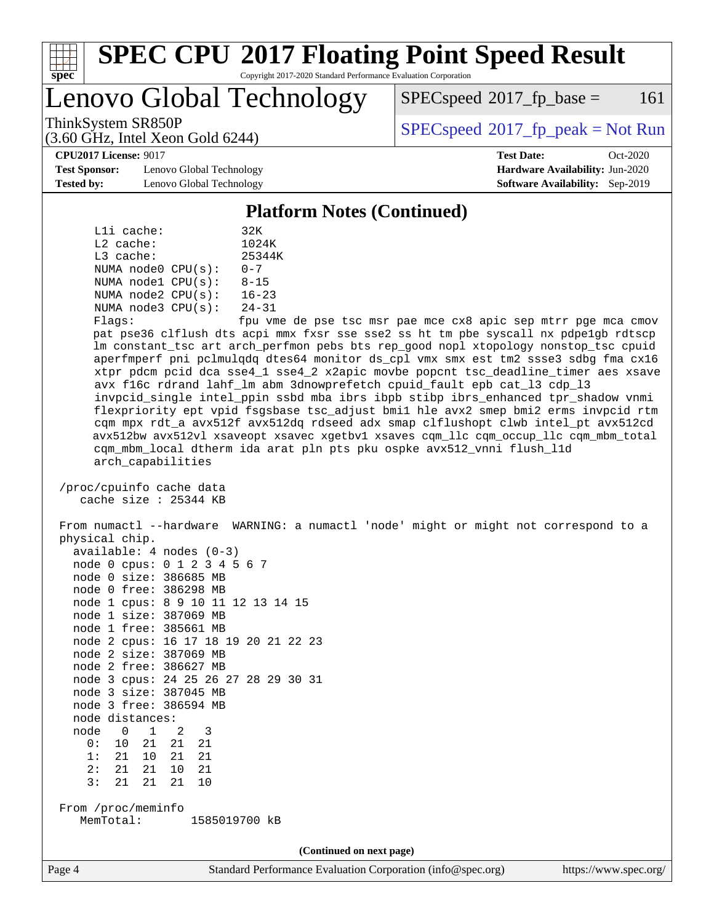

# **[SPEC CPU](http://www.spec.org/auto/cpu2017/Docs/result-fields.html#SPECCPU2017FloatingPointSpeedResult)[2017 Floating Point Speed Result](http://www.spec.org/auto/cpu2017/Docs/result-fields.html#SPECCPU2017FloatingPointSpeedResult)**

Copyright 2017-2020 Standard Performance Evaluation Corporation

Lenovo Global Technology

 $SPECspeed^{\circ}2017\_fp\_base = 161$  $SPECspeed^{\circ}2017\_fp\_base = 161$ 

(3.60 GHz, Intel Xeon Gold 6244)

ThinkSystem SR850P<br>  $SPEC speed^{\circ}2017$  [p\_peak = Not Run

**[CPU2017 License:](http://www.spec.org/auto/cpu2017/Docs/result-fields.html#CPU2017License)** 9017 **[Test Date:](http://www.spec.org/auto/cpu2017/Docs/result-fields.html#TestDate)** Oct-2020

**[Test Sponsor:](http://www.spec.org/auto/cpu2017/Docs/result-fields.html#TestSponsor)** Lenovo Global Technology **[Hardware Availability:](http://www.spec.org/auto/cpu2017/Docs/result-fields.html#HardwareAvailability)** Jun-2020 **[Tested by:](http://www.spec.org/auto/cpu2017/Docs/result-fields.html#Testedby)** Lenovo Global Technology **[Software Availability:](http://www.spec.org/auto/cpu2017/Docs/result-fields.html#SoftwareAvailability)** Sep-2019

#### **[Platform Notes \(Continued\)](http://www.spec.org/auto/cpu2017/Docs/result-fields.html#PlatformNotes)**

| $L1i$ cache:     |                         | 32K                        |
|------------------|-------------------------|----------------------------|
| $L2$ cache:      |                         | 1024K                      |
| $L3$ cache:      |                         | 25344K                     |
|                  | NUMA $node0$ $CPU(s)$ : | $0 - 7$                    |
|                  | NUMA $node1$ $CPU(s)$ : | $8 - 15$                   |
|                  | NUMA $node2$ $CPU(s)$ : | $16 - 23$                  |
|                  | NUMA $node3$ $CPU(s)$ : | $24 - 31$                  |
| $F1$ arg $\cdot$ |                         | $f_{\text{min}}$ $\tau$ me |

Flags: fpu vme de pse tsc msr pae mce cx8 apic sep mtrr pge mca cmov pat pse36 clflush dts acpi mmx fxsr sse sse2 ss ht tm pbe syscall nx pdpe1gb rdtscp lm constant\_tsc art arch\_perfmon pebs bts rep\_good nopl xtopology nonstop\_tsc cpuid aperfmperf pni pclmulqdq dtes64 monitor ds\_cpl vmx smx est tm2 ssse3 sdbg fma cx16 xtpr pdcm pcid dca sse4\_1 sse4\_2 x2apic movbe popcnt tsc\_deadline\_timer aes xsave avx f16c rdrand lahf\_lm abm 3dnowprefetch cpuid\_fault epb cat\_l3 cdp\_l3 invpcid\_single intel\_ppin ssbd mba ibrs ibpb stibp ibrs\_enhanced tpr\_shadow vnmi flexpriority ept vpid fsgsbase tsc\_adjust bmi1 hle avx2 smep bmi2 erms invpcid rtm cqm mpx rdt\_a avx512f avx512dq rdseed adx smap clflushopt clwb intel\_pt avx512cd avx512bw avx512vl xsaveopt xsavec xgetbv1 xsaves cqm\_llc cqm\_occup\_llc cqm\_mbm\_total cqm\_mbm\_local dtherm ida arat pln pts pku ospke avx512\_vnni flush\_l1d arch\_capabilities

 /proc/cpuinfo cache data cache size : 25344 KB

 From numactl --hardware WARNING: a numactl 'node' might or might not correspond to a physical chip.

|                            | available: 4 nodes (0-3)             |  |  |  |  |  |  |  |
|----------------------------|--------------------------------------|--|--|--|--|--|--|--|
|                            | node 0 cpus: 0 1 2 3 4 5 6 7         |  |  |  |  |  |  |  |
|                            | node 0 size: 386685 MB               |  |  |  |  |  |  |  |
|                            | node 0 free: 386298 MB               |  |  |  |  |  |  |  |
|                            | node 1 cpus: 8 9 10 11 12 13 14 15   |  |  |  |  |  |  |  |
|                            | node 1 size: 387069 MB               |  |  |  |  |  |  |  |
|                            | node 1 free: 385661 MB               |  |  |  |  |  |  |  |
|                            | node 2 cpus: 16 17 18 19 20 21 22 23 |  |  |  |  |  |  |  |
|                            | node 2 size: 387069 MB               |  |  |  |  |  |  |  |
|                            | node 2 free: 386627 MB               |  |  |  |  |  |  |  |
|                            | node 3 cpus: 24 25 26 27 28 29 30 31 |  |  |  |  |  |  |  |
|                            | node 3 size: 387045 MB               |  |  |  |  |  |  |  |
|                            | node 3 free: 386594 MB               |  |  |  |  |  |  |  |
|                            | node distances:                      |  |  |  |  |  |  |  |
|                            | node 0 1 2 3                         |  |  |  |  |  |  |  |
|                            | 0: 10 21 21 21                       |  |  |  |  |  |  |  |
|                            | 1: 21 10 21 21                       |  |  |  |  |  |  |  |
|                            | 2: 21 21 10 21                       |  |  |  |  |  |  |  |
|                            | 3: 21 21 21 10                       |  |  |  |  |  |  |  |
|                            |                                      |  |  |  |  |  |  |  |
| From /proc/meminfo         |                                      |  |  |  |  |  |  |  |
| 1585019700 kB<br>MemTotal: |                                      |  |  |  |  |  |  |  |

**(Continued on next page)**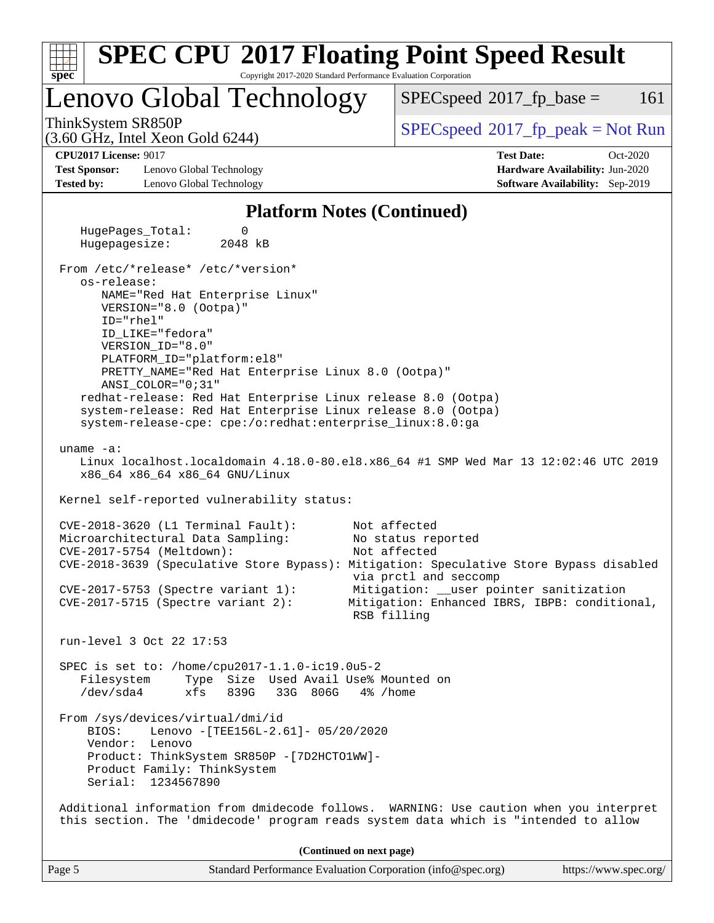|                                                                                                                                                                                                                                                                                                                                                                                                                                                                                                                                                                          | <b>SPEC CPU®2017 Floating Point Speed Result</b>                                                                                                                                                                                                                                  |
|--------------------------------------------------------------------------------------------------------------------------------------------------------------------------------------------------------------------------------------------------------------------------------------------------------------------------------------------------------------------------------------------------------------------------------------------------------------------------------------------------------------------------------------------------------------------------|-----------------------------------------------------------------------------------------------------------------------------------------------------------------------------------------------------------------------------------------------------------------------------------|
| spec<br>Copyright 2017-2020 Standard Performance Evaluation Corporation<br>Lenovo Global Technology                                                                                                                                                                                                                                                                                                                                                                                                                                                                      | $SPEC speed^{\circ}2017\_fp\_base =$<br>161                                                                                                                                                                                                                                       |
| ThinkSystem SR850P<br>(3.60 GHz, Intel Xeon Gold 6244)                                                                                                                                                                                                                                                                                                                                                                                                                                                                                                                   | $SPEC speed^{\circ}2017\_fp\_peak = Not Run$                                                                                                                                                                                                                                      |
| <b>CPU2017 License: 9017</b><br><b>Test Sponsor:</b><br>Lenovo Global Technology<br><b>Tested by:</b><br>Lenovo Global Technology                                                                                                                                                                                                                                                                                                                                                                                                                                        | <b>Test Date:</b><br>Oct-2020<br>Hardware Availability: Jun-2020<br>Software Availability: Sep-2019                                                                                                                                                                               |
| <b>Platform Notes (Continued)</b>                                                                                                                                                                                                                                                                                                                                                                                                                                                                                                                                        |                                                                                                                                                                                                                                                                                   |
| HugePages_Total:<br>0<br>Hugepagesize:<br>2048 kB                                                                                                                                                                                                                                                                                                                                                                                                                                                                                                                        |                                                                                                                                                                                                                                                                                   |
| From /etc/*release* /etc/*version*<br>os-release:<br>NAME="Red Hat Enterprise Linux"<br>VERSION="8.0 (Ootpa)"<br>ID="rhel"<br>ID_LIKE="fedora"<br>VERSION_ID="8.0"<br>PLATFORM_ID="platform:el8"<br>PRETTY_NAME="Red Hat Enterprise Linux 8.0 (Ootpa)"<br>ANSI_COLOR="0;31"<br>redhat-release: Red Hat Enterprise Linux release 8.0 (Ootpa)<br>system-release: Red Hat Enterprise Linux release 8.0 (Ootpa)<br>system-release-cpe: cpe:/o:redhat:enterprise_linux:8.0:ga<br>uname $-a$ :<br>x86_64 x86_64 x86_64 GNU/Linux<br>Kernel self-reported vulnerability status: | Linux localhost.localdomain 4.18.0-80.el8.x86_64 #1 SMP Wed Mar 13 12:02:46 UTC 2019                                                                                                                                                                                              |
| CVE-2018-3620 (L1 Terminal Fault):<br>Microarchitectural Data Sampling:<br>CVE-2017-5754 (Meltdown):<br>$CVE-2017-5753$ (Spectre variant 1):<br>$CVE-2017-5715$ (Spectre variant 2):                                                                                                                                                                                                                                                                                                                                                                                     | Not affected<br>No status reported<br>Not affected<br>CVE-2018-3639 (Speculative Store Bypass): Mitigation: Speculative Store Bypass disabled<br>via prctl and seccomp<br>Mitigation: __user pointer sanitization<br>Mitigation: Enhanced IBRS, IBPB: conditional,<br>RSB filling |
| run-level 3 Oct 22 17:53                                                                                                                                                                                                                                                                                                                                                                                                                                                                                                                                                 |                                                                                                                                                                                                                                                                                   |
| SPEC is set to: /home/cpu2017-1.1.0-ic19.0u5-2<br>Filesystem<br>Type Size Used Avail Use% Mounted on<br>$/\text{dev/sda4}$<br>xfs<br>839G<br>33G 806G                                                                                                                                                                                                                                                                                                                                                                                                                    | 4% /home                                                                                                                                                                                                                                                                          |
| From /sys/devices/virtual/dmi/id<br>BIOS:<br>Lenovo - [TEE156L-2.61]- 05/20/2020<br>Vendor: Lenovo<br>Product: ThinkSystem SR850P - [7D2HCTO1WW]-<br>Product Family: ThinkSystem<br>Serial: 1234567890                                                                                                                                                                                                                                                                                                                                                                   |                                                                                                                                                                                                                                                                                   |
| this section. The 'dmidecode' program reads system data which is "intended to allow                                                                                                                                                                                                                                                                                                                                                                                                                                                                                      | Additional information from dmidecode follows. WARNING: Use caution when you interpret                                                                                                                                                                                            |
|                                                                                                                                                                                                                                                                                                                                                                                                                                                                                                                                                                          | (Continued on next page)                                                                                                                                                                                                                                                          |
| Page 5                                                                                                                                                                                                                                                                                                                                                                                                                                                                                                                                                                   | Standard Performance Evaluation Corporation (info@spec.org)<br>https://www.spec.org/                                                                                                                                                                                              |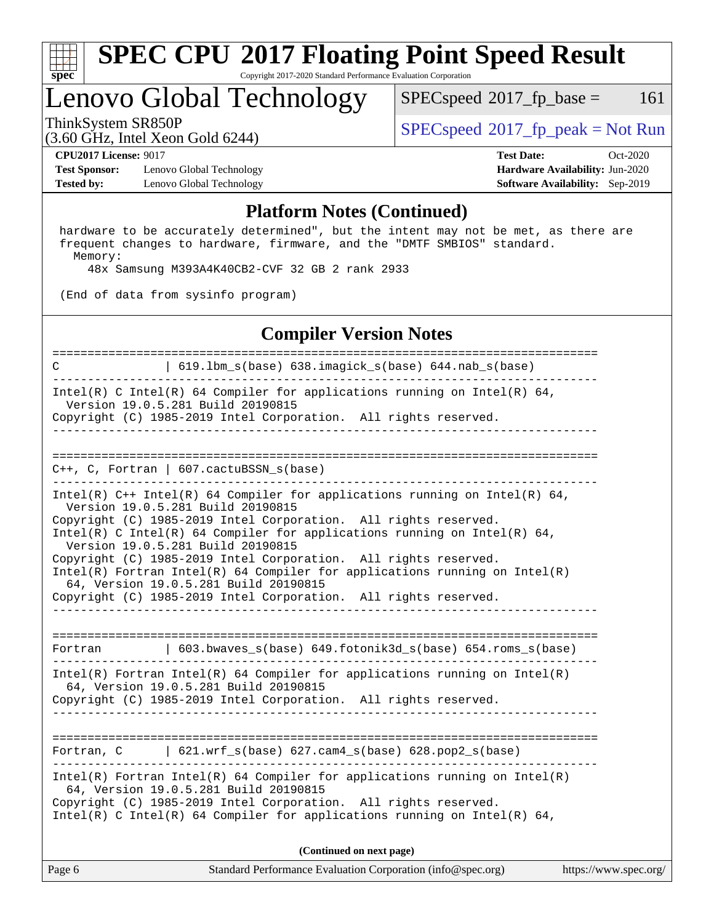

#### **[SPEC CPU](http://www.spec.org/auto/cpu2017/Docs/result-fields.html#SPECCPU2017FloatingPointSpeedResult)[2017 Floating Point Speed Result](http://www.spec.org/auto/cpu2017/Docs/result-fields.html#SPECCPU2017FloatingPointSpeedResult)** Copyright 2017-2020 Standard Performance Evaluation Corporation

## Lenovo Global Technology

 $SPECspeed^{\circledcirc}2017_fp\_base = 161$  $SPECspeed^{\circledcirc}2017_fp\_base = 161$ 

ThinkSystem SR850P<br>  $(2.60 \text{ GHz. Intel Yes} \cdot \text{Cold} \cdot 6244)$  [SPECspeed](http://www.spec.org/auto/cpu2017/Docs/result-fields.html#SPECspeed2017fppeak)®[2017\\_fp\\_peak = N](http://www.spec.org/auto/cpu2017/Docs/result-fields.html#SPECspeed2017fppeak)ot Run

**[CPU2017 License:](http://www.spec.org/auto/cpu2017/Docs/result-fields.html#CPU2017License)** 9017 **[Test Date:](http://www.spec.org/auto/cpu2017/Docs/result-fields.html#TestDate)** Oct-2020

**[Test Sponsor:](http://www.spec.org/auto/cpu2017/Docs/result-fields.html#TestSponsor)** Lenovo Global Technology **[Hardware Availability:](http://www.spec.org/auto/cpu2017/Docs/result-fields.html#HardwareAvailability)** Jun-2020 **[Tested by:](http://www.spec.org/auto/cpu2017/Docs/result-fields.html#Testedby)** Lenovo Global Technology **[Software Availability:](http://www.spec.org/auto/cpu2017/Docs/result-fields.html#SoftwareAvailability)** Sep-2019

(3.60 GHz, Intel Xeon Gold 6244)

#### **[Platform Notes \(Continued\)](http://www.spec.org/auto/cpu2017/Docs/result-fields.html#PlatformNotes)**

 hardware to be accurately determined", but the intent may not be met, as there are frequent changes to hardware, firmware, and the "DMTF SMBIOS" standard. Memory:

48x Samsung M393A4K40CB2-CVF 32 GB 2 rank 2933

(End of data from sysinfo program)

### **[Compiler Version Notes](http://www.spec.org/auto/cpu2017/Docs/result-fields.html#CompilerVersionNotes)**

Page 6 Standard Performance Evaluation Corporation [\(info@spec.org\)](mailto:info@spec.org) <https://www.spec.org/> ============================================================================== C | 619.lbm\_s(base) 638.imagick\_s(base) 644.nab\_s(base) ------------------------------------------------------------------------------ Intel(R) C Intel(R) 64 Compiler for applications running on Intel(R)  $64$ , Version 19.0.5.281 Build 20190815 Copyright (C) 1985-2019 Intel Corporation. All rights reserved. ------------------------------------------------------------------------------ ============================================================================== C++, C, Fortran | 607.cactuBSSN\_s(base) ------------------------------------------------------------------------------ Intel(R) C++ Intel(R) 64 Compiler for applications running on Intel(R) 64, Version 19.0.5.281 Build 20190815 Copyright (C) 1985-2019 Intel Corporation. All rights reserved. Intel(R) C Intel(R) 64 Compiler for applications running on Intel(R)  $64$ , Version 19.0.5.281 Build 20190815 Copyright (C) 1985-2019 Intel Corporation. All rights reserved. Intel(R) Fortran Intel(R) 64 Compiler for applications running on Intel(R) 64, Version 19.0.5.281 Build 20190815 Copyright (C) 1985-2019 Intel Corporation. All rights reserved. ------------------------------------------------------------------------------ ============================================================================== Fortran | 603.bwaves\_s(base) 649.fotonik3d\_s(base) 654.roms\_s(base) ------------------------------------------------------------------------------ Intel(R) Fortran Intel(R) 64 Compiler for applications running on Intel(R) 64, Version 19.0.5.281 Build 20190815 Copyright (C) 1985-2019 Intel Corporation. All rights reserved. ------------------------------------------------------------------------------ ============================================================================== Fortran, C | 621.wrf\_s(base) 627.cam4\_s(base) 628.pop2\_s(base) ------------------------------------------------------------------------------ Intel(R) Fortran Intel(R) 64 Compiler for applications running on Intel(R) 64, Version 19.0.5.281 Build 20190815 Copyright (C) 1985-2019 Intel Corporation. All rights reserved. Intel(R) C Intel(R) 64 Compiler for applications running on Intel(R)  $64$ , **(Continued on next page)**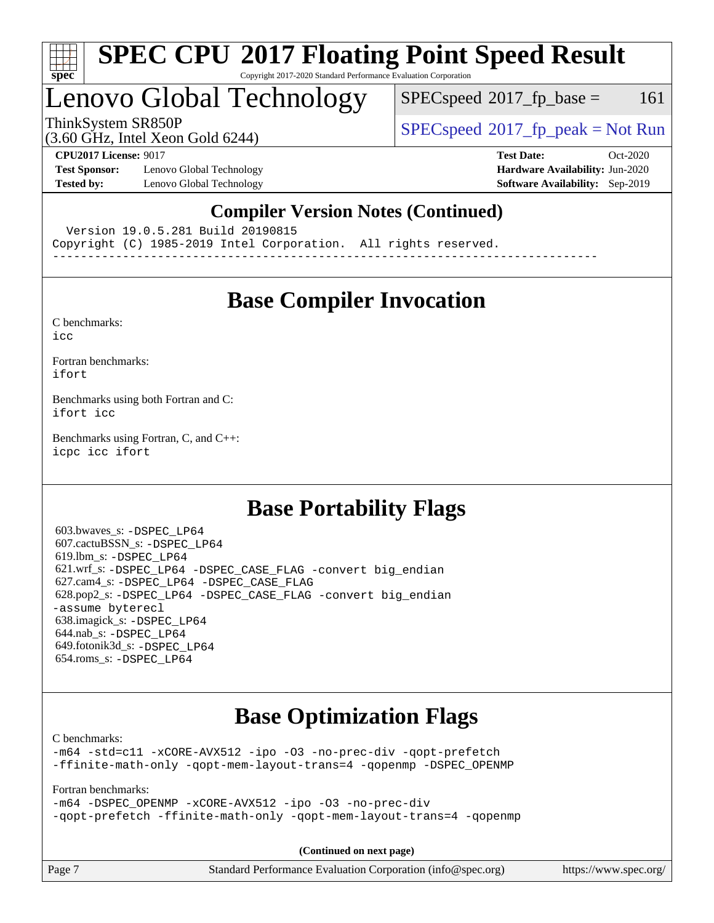

### **[SPEC CPU](http://www.spec.org/auto/cpu2017/Docs/result-fields.html#SPECCPU2017FloatingPointSpeedResult)[2017 Floating Point Speed Result](http://www.spec.org/auto/cpu2017/Docs/result-fields.html#SPECCPU2017FloatingPointSpeedResult)** Copyright 2017-2020 Standard Performance Evaluation Corporation

## Lenovo Global Technology

 $SPEC speed^{\circ}2017\_fp\_base = 161$ 

ThinkSystem SR850P<br>  $SPEC speed^{\circ}2017$  [p\_peak = Not Run

## (3.60 GHz, Intel Xeon Gold 6244)

**[Test Sponsor:](http://www.spec.org/auto/cpu2017/Docs/result-fields.html#TestSponsor)** Lenovo Global Technology **[Hardware Availability:](http://www.spec.org/auto/cpu2017/Docs/result-fields.html#HardwareAvailability)** Jun-2020 **[Tested by:](http://www.spec.org/auto/cpu2017/Docs/result-fields.html#Testedby)** Lenovo Global Technology **[Software Availability:](http://www.spec.org/auto/cpu2017/Docs/result-fields.html#SoftwareAvailability)** Sep-2019

**[CPU2017 License:](http://www.spec.org/auto/cpu2017/Docs/result-fields.html#CPU2017License)** 9017 **[Test Date:](http://www.spec.org/auto/cpu2017/Docs/result-fields.html#TestDate)** Oct-2020

### **[Compiler Version Notes \(Continued\)](http://www.spec.org/auto/cpu2017/Docs/result-fields.html#CompilerVersionNotes)**

Version 19.0.5.281 Build 20190815

Copyright (C) 1985-2019 Intel Corporation. All rights reserved.

------------------------------------------------------------------------------

## **[Base Compiler Invocation](http://www.spec.org/auto/cpu2017/Docs/result-fields.html#BaseCompilerInvocation)**

[C benchmarks](http://www.spec.org/auto/cpu2017/Docs/result-fields.html#Cbenchmarks): [icc](http://www.spec.org/cpu2017/results/res2020q4/cpu2017-20201026-24287.flags.html#user_CCbase_intel_icc_66fc1ee009f7361af1fbd72ca7dcefbb700085f36577c54f309893dd4ec40d12360134090235512931783d35fd58c0460139e722d5067c5574d8eaf2b3e37e92)

[Fortran benchmarks](http://www.spec.org/auto/cpu2017/Docs/result-fields.html#Fortranbenchmarks): [ifort](http://www.spec.org/cpu2017/results/res2020q4/cpu2017-20201026-24287.flags.html#user_FCbase_intel_ifort_8111460550e3ca792625aed983ce982f94888b8b503583aa7ba2b8303487b4d8a21a13e7191a45c5fd58ff318f48f9492884d4413fa793fd88dd292cad7027ca)

[Benchmarks using both Fortran and C](http://www.spec.org/auto/cpu2017/Docs/result-fields.html#BenchmarksusingbothFortranandC): [ifort](http://www.spec.org/cpu2017/results/res2020q4/cpu2017-20201026-24287.flags.html#user_CC_FCbase_intel_ifort_8111460550e3ca792625aed983ce982f94888b8b503583aa7ba2b8303487b4d8a21a13e7191a45c5fd58ff318f48f9492884d4413fa793fd88dd292cad7027ca) [icc](http://www.spec.org/cpu2017/results/res2020q4/cpu2017-20201026-24287.flags.html#user_CC_FCbase_intel_icc_66fc1ee009f7361af1fbd72ca7dcefbb700085f36577c54f309893dd4ec40d12360134090235512931783d35fd58c0460139e722d5067c5574d8eaf2b3e37e92)

[Benchmarks using Fortran, C, and C++:](http://www.spec.org/auto/cpu2017/Docs/result-fields.html#BenchmarksusingFortranCandCXX) [icpc](http://www.spec.org/cpu2017/results/res2020q4/cpu2017-20201026-24287.flags.html#user_CC_CXX_FCbase_intel_icpc_c510b6838c7f56d33e37e94d029a35b4a7bccf4766a728ee175e80a419847e808290a9b78be685c44ab727ea267ec2f070ec5dc83b407c0218cded6866a35d07) [icc](http://www.spec.org/cpu2017/results/res2020q4/cpu2017-20201026-24287.flags.html#user_CC_CXX_FCbase_intel_icc_66fc1ee009f7361af1fbd72ca7dcefbb700085f36577c54f309893dd4ec40d12360134090235512931783d35fd58c0460139e722d5067c5574d8eaf2b3e37e92) [ifort](http://www.spec.org/cpu2017/results/res2020q4/cpu2017-20201026-24287.flags.html#user_CC_CXX_FCbase_intel_ifort_8111460550e3ca792625aed983ce982f94888b8b503583aa7ba2b8303487b4d8a21a13e7191a45c5fd58ff318f48f9492884d4413fa793fd88dd292cad7027ca)

## **[Base Portability Flags](http://www.spec.org/auto/cpu2017/Docs/result-fields.html#BasePortabilityFlags)**

 603.bwaves\_s: [-DSPEC\\_LP64](http://www.spec.org/cpu2017/results/res2020q4/cpu2017-20201026-24287.flags.html#suite_basePORTABILITY603_bwaves_s_DSPEC_LP64) 607.cactuBSSN\_s: [-DSPEC\\_LP64](http://www.spec.org/cpu2017/results/res2020q4/cpu2017-20201026-24287.flags.html#suite_basePORTABILITY607_cactuBSSN_s_DSPEC_LP64) 619.lbm\_s: [-DSPEC\\_LP64](http://www.spec.org/cpu2017/results/res2020q4/cpu2017-20201026-24287.flags.html#suite_basePORTABILITY619_lbm_s_DSPEC_LP64) 621.wrf\_s: [-DSPEC\\_LP64](http://www.spec.org/cpu2017/results/res2020q4/cpu2017-20201026-24287.flags.html#suite_basePORTABILITY621_wrf_s_DSPEC_LP64) [-DSPEC\\_CASE\\_FLAG](http://www.spec.org/cpu2017/results/res2020q4/cpu2017-20201026-24287.flags.html#b621.wrf_s_baseCPORTABILITY_DSPEC_CASE_FLAG) [-convert big\\_endian](http://www.spec.org/cpu2017/results/res2020q4/cpu2017-20201026-24287.flags.html#user_baseFPORTABILITY621_wrf_s_convert_big_endian_c3194028bc08c63ac5d04de18c48ce6d347e4e562e8892b8bdbdc0214820426deb8554edfa529a3fb25a586e65a3d812c835984020483e7e73212c4d31a38223) 627.cam4\_s: [-DSPEC\\_LP64](http://www.spec.org/cpu2017/results/res2020q4/cpu2017-20201026-24287.flags.html#suite_basePORTABILITY627_cam4_s_DSPEC_LP64) [-DSPEC\\_CASE\\_FLAG](http://www.spec.org/cpu2017/results/res2020q4/cpu2017-20201026-24287.flags.html#b627.cam4_s_baseCPORTABILITY_DSPEC_CASE_FLAG) 628.pop2\_s: [-DSPEC\\_LP64](http://www.spec.org/cpu2017/results/res2020q4/cpu2017-20201026-24287.flags.html#suite_basePORTABILITY628_pop2_s_DSPEC_LP64) [-DSPEC\\_CASE\\_FLAG](http://www.spec.org/cpu2017/results/res2020q4/cpu2017-20201026-24287.flags.html#b628.pop2_s_baseCPORTABILITY_DSPEC_CASE_FLAG) [-convert big\\_endian](http://www.spec.org/cpu2017/results/res2020q4/cpu2017-20201026-24287.flags.html#user_baseFPORTABILITY628_pop2_s_convert_big_endian_c3194028bc08c63ac5d04de18c48ce6d347e4e562e8892b8bdbdc0214820426deb8554edfa529a3fb25a586e65a3d812c835984020483e7e73212c4d31a38223) [-assume byterecl](http://www.spec.org/cpu2017/results/res2020q4/cpu2017-20201026-24287.flags.html#user_baseFPORTABILITY628_pop2_s_assume_byterecl_7e47d18b9513cf18525430bbf0f2177aa9bf368bc7a059c09b2c06a34b53bd3447c950d3f8d6c70e3faf3a05c8557d66a5798b567902e8849adc142926523472) 638.imagick\_s: [-DSPEC\\_LP64](http://www.spec.org/cpu2017/results/res2020q4/cpu2017-20201026-24287.flags.html#suite_basePORTABILITY638_imagick_s_DSPEC_LP64) 644.nab\_s: [-DSPEC\\_LP64](http://www.spec.org/cpu2017/results/res2020q4/cpu2017-20201026-24287.flags.html#suite_basePORTABILITY644_nab_s_DSPEC_LP64) 649.fotonik3d\_s: [-DSPEC\\_LP64](http://www.spec.org/cpu2017/results/res2020q4/cpu2017-20201026-24287.flags.html#suite_basePORTABILITY649_fotonik3d_s_DSPEC_LP64) 654.roms\_s: [-DSPEC\\_LP64](http://www.spec.org/cpu2017/results/res2020q4/cpu2017-20201026-24287.flags.html#suite_basePORTABILITY654_roms_s_DSPEC_LP64)

## **[Base Optimization Flags](http://www.spec.org/auto/cpu2017/Docs/result-fields.html#BaseOptimizationFlags)**

[C benchmarks](http://www.spec.org/auto/cpu2017/Docs/result-fields.html#Cbenchmarks):

[-m64](http://www.spec.org/cpu2017/results/res2020q4/cpu2017-20201026-24287.flags.html#user_CCbase_m64-icc) [-std=c11](http://www.spec.org/cpu2017/results/res2020q4/cpu2017-20201026-24287.flags.html#user_CCbase_std-icc-std_0e1c27790398a4642dfca32ffe6c27b5796f9c2d2676156f2e42c9c44eaad0c049b1cdb667a270c34d979996257aeb8fc440bfb01818dbc9357bd9d174cb8524) [-xCORE-AVX512](http://www.spec.org/cpu2017/results/res2020q4/cpu2017-20201026-24287.flags.html#user_CCbase_f-xCORE-AVX512) [-ipo](http://www.spec.org/cpu2017/results/res2020q4/cpu2017-20201026-24287.flags.html#user_CCbase_f-ipo) [-O3](http://www.spec.org/cpu2017/results/res2020q4/cpu2017-20201026-24287.flags.html#user_CCbase_f-O3) [-no-prec-div](http://www.spec.org/cpu2017/results/res2020q4/cpu2017-20201026-24287.flags.html#user_CCbase_f-no-prec-div) [-qopt-prefetch](http://www.spec.org/cpu2017/results/res2020q4/cpu2017-20201026-24287.flags.html#user_CCbase_f-qopt-prefetch) [-ffinite-math-only](http://www.spec.org/cpu2017/results/res2020q4/cpu2017-20201026-24287.flags.html#user_CCbase_f_finite_math_only_cb91587bd2077682c4b38af759c288ed7c732db004271a9512da14a4f8007909a5f1427ecbf1a0fb78ff2a814402c6114ac565ca162485bbcae155b5e4258871) [-qopt-mem-layout-trans=4](http://www.spec.org/cpu2017/results/res2020q4/cpu2017-20201026-24287.flags.html#user_CCbase_f-qopt-mem-layout-trans_fa39e755916c150a61361b7846f310bcdf6f04e385ef281cadf3647acec3f0ae266d1a1d22d972a7087a248fd4e6ca390a3634700869573d231a252c784941a8) [-qopenmp](http://www.spec.org/cpu2017/results/res2020q4/cpu2017-20201026-24287.flags.html#user_CCbase_qopenmp_16be0c44f24f464004c6784a7acb94aca937f053568ce72f94b139a11c7c168634a55f6653758ddd83bcf7b8463e8028bb0b48b77bcddc6b78d5d95bb1df2967) [-DSPEC\\_OPENMP](http://www.spec.org/cpu2017/results/res2020q4/cpu2017-20201026-24287.flags.html#suite_CCbase_DSPEC_OPENMP)

[Fortran benchmarks](http://www.spec.org/auto/cpu2017/Docs/result-fields.html#Fortranbenchmarks):

[-m64](http://www.spec.org/cpu2017/results/res2020q4/cpu2017-20201026-24287.flags.html#user_FCbase_m64-icc) [-DSPEC\\_OPENMP](http://www.spec.org/cpu2017/results/res2020q4/cpu2017-20201026-24287.flags.html#suite_FCbase_DSPEC_OPENMP) [-xCORE-AVX512](http://www.spec.org/cpu2017/results/res2020q4/cpu2017-20201026-24287.flags.html#user_FCbase_f-xCORE-AVX512) [-ipo](http://www.spec.org/cpu2017/results/res2020q4/cpu2017-20201026-24287.flags.html#user_FCbase_f-ipo) [-O3](http://www.spec.org/cpu2017/results/res2020q4/cpu2017-20201026-24287.flags.html#user_FCbase_f-O3) [-no-prec-div](http://www.spec.org/cpu2017/results/res2020q4/cpu2017-20201026-24287.flags.html#user_FCbase_f-no-prec-div) [-qopt-prefetch](http://www.spec.org/cpu2017/results/res2020q4/cpu2017-20201026-24287.flags.html#user_FCbase_f-qopt-prefetch) [-ffinite-math-only](http://www.spec.org/cpu2017/results/res2020q4/cpu2017-20201026-24287.flags.html#user_FCbase_f_finite_math_only_cb91587bd2077682c4b38af759c288ed7c732db004271a9512da14a4f8007909a5f1427ecbf1a0fb78ff2a814402c6114ac565ca162485bbcae155b5e4258871) [-qopt-mem-layout-trans=4](http://www.spec.org/cpu2017/results/res2020q4/cpu2017-20201026-24287.flags.html#user_FCbase_f-qopt-mem-layout-trans_fa39e755916c150a61361b7846f310bcdf6f04e385ef281cadf3647acec3f0ae266d1a1d22d972a7087a248fd4e6ca390a3634700869573d231a252c784941a8) [-qopenmp](http://www.spec.org/cpu2017/results/res2020q4/cpu2017-20201026-24287.flags.html#user_FCbase_qopenmp_16be0c44f24f464004c6784a7acb94aca937f053568ce72f94b139a11c7c168634a55f6653758ddd83bcf7b8463e8028bb0b48b77bcddc6b78d5d95bb1df2967)

**(Continued on next page)**

| Page 7 | Standard Performance Evaluation Corporation (info@spec.org) | https://www.spec.org/ |
|--------|-------------------------------------------------------------|-----------------------|
|--------|-------------------------------------------------------------|-----------------------|